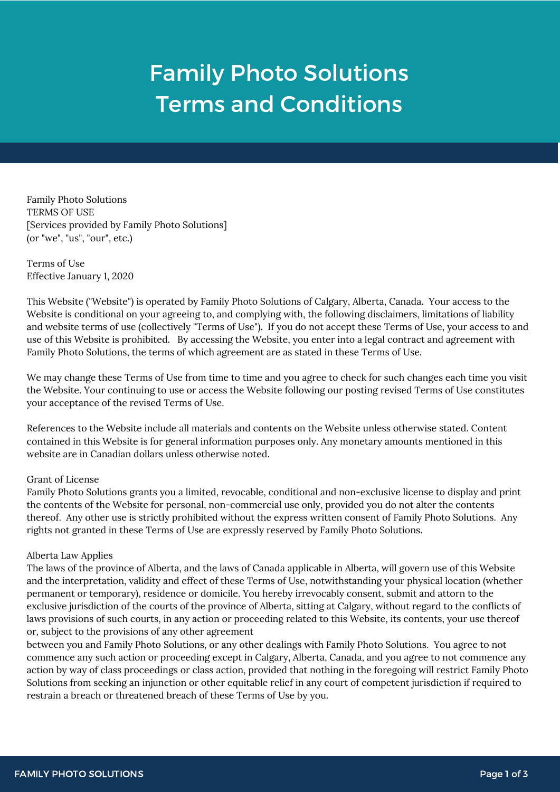# Family Photo Solutions Terms and Conditions

Family Photo Solutions TERMS OF USE [Services provided by Family Photo Solutions] (or "we", "us", "our", etc.)

Terms of Use Effective January 1, 2020

This Website ("Website") is operated by Family Photo Solutions of Calgary, Alberta, Canada. Your access to the Website is conditional on your agreeing to, and complying with, the following disclaimers, limitations of liability and website terms of use (collectively "Terms of Use"). If you do not accept these Terms of Use, your access to and use of this Website is prohibited. By accessing the Website, you enter into a legal contract and agreement with Family Photo Solutions, the terms of which agreement are as stated in these Terms of Use.

We may change these Terms of Use from time to time and you agree to check for such changes each time you visit the Website. Your continuing to use or access the Website following our posting revised Terms of Use constitutes your acceptance of the revised Terms of Use.

References to the Website include all materials and contents on the Website unless otherwise stated. Content contained in this Website is for general information purposes only. Any monetary amounts mentioned in this website are in Canadian dollars unless otherwise noted.

## Grant of License

Family Photo Solutions grants you a limited, revocable, conditional and non-exclusive license to display and print the contents of the Website for personal, non-commercial use only, provided you do not alter the contents thereof. Any other use is strictly prohibited without the express written consent of Family Photo Solutions. Any rights not granted in these Terms of Use are expressly reserved by Family Photo Solutions.

## Alberta Law Applies

The laws of the province of Alberta, and the laws of Canada applicable in Alberta, will govern use of this Website and the interpretation, validity and effect of these Terms of Use, notwithstanding your physical location (whether permanent or temporary), residence or domicile. You hereby irrevocably consent, submit and attorn to the exclusive jurisdiction of the courts of the province of Alberta, sitting at Calgary, without regard to the conflicts of laws provisions of such courts, in any action or proceeding related to this Website, its contents, your use thereof or, subject to the provisions of any other agreement

between you and Family Photo Solutions, or any other dealings with Family Photo Solutions. You agree to not commence any such action or proceeding except in Calgary, Alberta, Canada, and you agree to not commence any action by way of class proceedings or class action, provided that nothing in the foregoing will restrict Family Photo Solutions from seeking an injunction or other equitable relief in any court of competent jurisdiction if required to restrain a breach or threatened breach of these Terms of Use by you.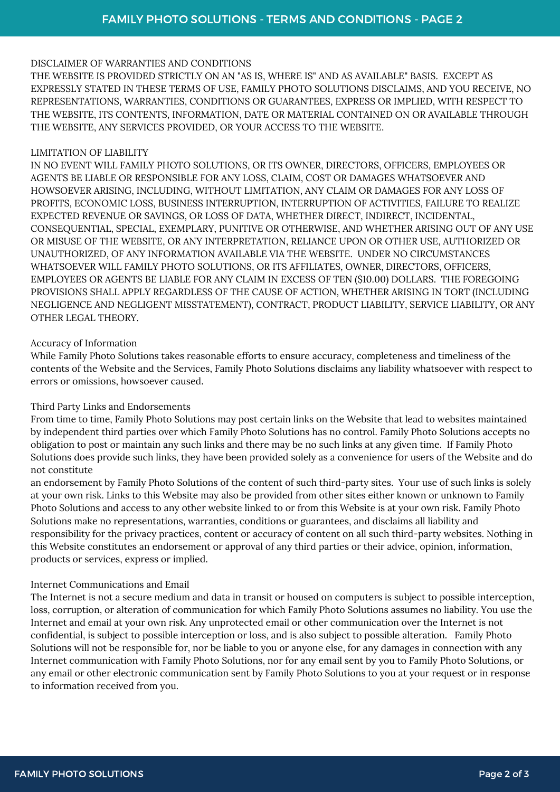# DISCLAIMER OF WARRANTIES AND CONDITIONS

THE WEBSITE IS PROVIDED STRICTLY ON AN "AS IS, WHERE IS" AND AS AVAILABLE" BASIS. EXCEPT AS EXPRESSLY STATED IN THESE TERMS OF USE, FAMILY PHOTO SOLUTIONS DISCLAIMS, AND YOU RECEIVE, NO REPRESENTATIONS, WARRANTIES, CONDITIONS OR GUARANTEES, EXPRESS OR IMPLIED, WITH RESPECT TO THE WEBSITE, ITS CONTENTS, INFORMATION, DATE OR MATERIAL CONTAINED ON OR AVAILABLE THROUGH THE WEBSITE, ANY SERVICES PROVIDED, OR YOUR ACCESS TO THE WEBSITE.

## LIMITATION OF LIABILITY

IN NO EVENT WILL FAMILY PHOTO SOLUTIONS, OR ITS OWNER, DIRECTORS, OFFICERS, EMPLOYEES OR AGENTS BE LIABLE OR RESPONSIBLE FOR ANY LOSS, CLAIM, COST OR DAMAGES WHATSOEVER AND HOWSOEVER ARISING, INCLUDING, WITHOUT LIMITATION, ANY CLAIM OR DAMAGES FOR ANY LOSS OF PROFITS, ECONOMIC LOSS, BUSINESS INTERRUPTION, INTERRUPTION OF ACTIVITIES, FAILURE TO REALIZE EXPECTED REVENUE OR SAVINGS, OR LOSS OF DATA, WHETHER DIRECT, INDIRECT, INCIDENTAL, CONSEQUENTIAL, SPECIAL, EXEMPLARY, PUNITIVE OR OTHERWISE, AND WHETHER ARISING OUT OF ANY USE OR MISUSE OF THE WEBSITE, OR ANY INTERPRETATION, RELIANCE UPON OR OTHER USE, AUTHORIZED OR UNAUTHORIZED, OF ANY INFORMATION AVAILABLE VIA THE WEBSITE. UNDER NO CIRCUMSTANCES WHATSOEVER WILL FAMILY PHOTO SOLUTIONS, OR ITS AFFILIATES, OWNER, DIRECTORS, OFFICERS, EMPLOYEES OR AGENTS BE LIABLE FOR ANY CLAIM IN EXCESS OF TEN (\$10.00) DOLLARS. THE FOREGOING PROVISIONS SHALL APPLY REGARDLESS OF THE CAUSE OF ACTION, WHETHER ARISING IN TORT (INCLUDING NEGLIGENCE AND NEGLIGENT MISSTATEMENT), CONTRACT, PRODUCT LIABILITY, SERVICE LIABILITY, OR ANY OTHER LEGAL THEORY.

# Accuracy of Information

While Family Photo Solutions takes reasonable efforts to ensure accuracy, completeness and timeliness of the contents of the Website and the Services, Family Photo Solutions disclaims any liability whatsoever with respect to errors or omissions, howsoever caused.

# Third Party Links and Endorsements

From time to time, Family Photo Solutions may post certain links on the Website that lead to websites maintained by independent third parties over which Family Photo Solutions has no control. Family Photo Solutions accepts no obligation to post or maintain any such links and there may be no such links at any given time. If Family Photo Solutions does provide such links, they have been provided solely as a convenience for users of the Website and do not constitute

an endorsement by Family Photo Solutions of the content of such third-party sites. Your use of such links is solely at your own risk. Links to this Website may also be provided from other sites either known or unknown to Family Photo Solutions and access to any other website linked to or from this Website is at your own risk. Family Photo Solutions make no representations, warranties, conditions or guarantees, and disclaims all liability and responsibility for the privacy practices, content or accuracy of content on all such third-party websites. Nothing in this Website constitutes an endorsement or approval of any third parties or their advice, opinion, information, products or services, express or implied.

## Internet Communications and Email

The Internet is not a secure medium and data in transit or housed on computers is subject to possible interception, loss, corruption, or alteration of communication for which Family Photo Solutions assumes no liability. You use the Internet and email at your own risk. Any unprotected email or other communication over the Internet is not confidential, is subject to possible interception or loss, and is also subject to possible alteration. Family Photo Solutions will not be responsible for, nor be liable to you or anyone else, for any damages in connection with any Internet communication with Family Photo Solutions, nor for any email sent by you to Family Photo Solutions, or any email or other electronic communication sent by Family Photo Solutions to you at your request or in response to information received from you.